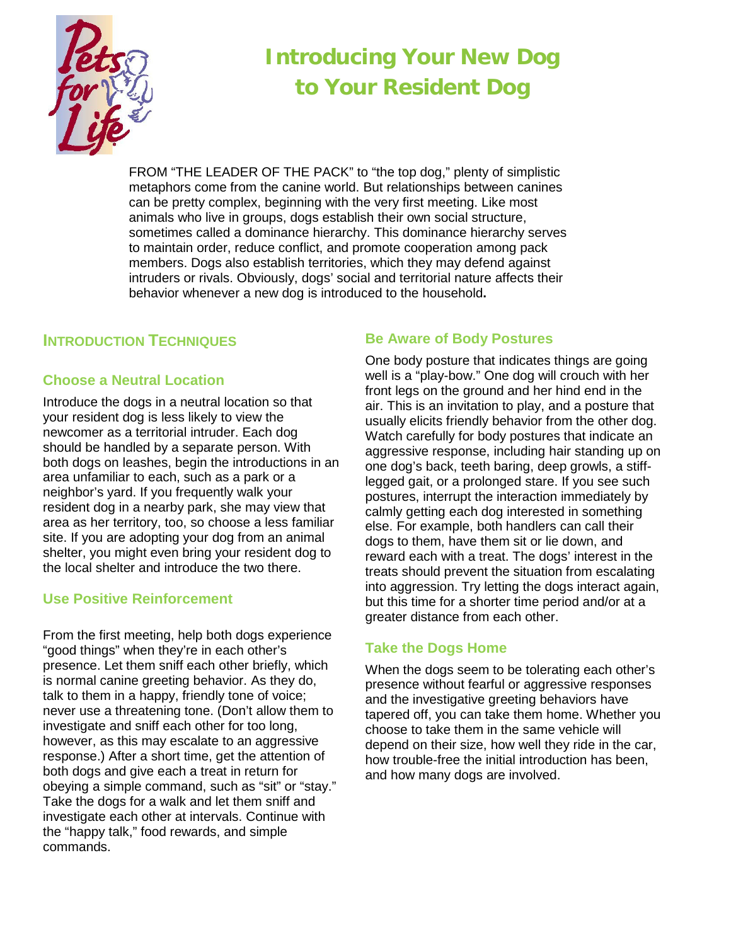

# **Introducing Your New Dog to Your Resident Dog**

FROM "THE LEADER OF THE PACK" to "the top dog," plenty of simplistic metaphors come from the canine world. But relationships between canines can be pretty complex, beginning with the very first meeting. Like most animals who live in groups, dogs establish their own social structure, sometimes called a dominance hierarchy. This dominance hierarchy serves to maintain order, reduce conflict, and promote cooperation among pack members. Dogs also establish territories, which they may defend against intruders or rivals. Obviously, dogs' social and territorial nature affects their behavior whenever a new dog is introduced to the household**.**

# **INTRODUCTION TECHNIQUES**

## **Choose a Neutral Location**

Introduce the dogs in a neutral location so that your resident dog is less likely to view the newcomer as a territorial intruder. Each dog should be handled by a separate person. With both dogs on leashes, begin the introductions in an area unfamiliar to each, such as a park or a neighbor's yard. If you frequently walk your resident dog in a nearby park, she may view that area as her territory, too, so choose a less familiar site. If you are adopting your dog from an animal shelter, you might even bring your resident dog to the local shelter and introduce the two there.

# **Use Positive Reinforcement**

From the first meeting, help both dogs experience "good things" when they're in each other's presence. Let them sniff each other briefly, which is normal canine greeting behavior. As they do, talk to them in a happy, friendly tone of voice; never use a threatening tone. (Don't allow them to investigate and sniff each other for too long, however, as this may escalate to an aggressive response.) After a short time, get the attention of both dogs and give each a treat in return for obeying a simple command, such as "sit" or "stay." Take the dogs for a walk and let them sniff and investigate each other at intervals. Continue with the "happy talk," food rewards, and simple commands.

## **Be Aware of Body Postures**

One body posture that indicates things are going well is a "play-bow." One dog will crouch with her front legs on the ground and her hind end in the air. This is an invitation to play, and a posture that usually elicits friendly behavior from the other dog. Watch carefully for body postures that indicate an aggressive response, including hair standing up on one dog's back, teeth baring, deep growls, a stifflegged gait, or a prolonged stare. If you see such postures, interrupt the interaction immediately by calmly getting each dog interested in something else. For example, both handlers can call their dogs to them, have them sit or lie down, and reward each with a treat. The dogs' interest in the treats should prevent the situation from escalating into aggression. Try letting the dogs interact again, but this time for a shorter time period and/or at a greater distance from each other.

# **Take the Dogs Home**

When the dogs seem to be tolerating each other's presence without fearful or aggressive responses and the investigative greeting behaviors have tapered off, you can take them home. Whether you choose to take them in the same vehicle will depend on their size, how well they ride in the car, how trouble-free the initial introduction has been, and how many dogs are involved.